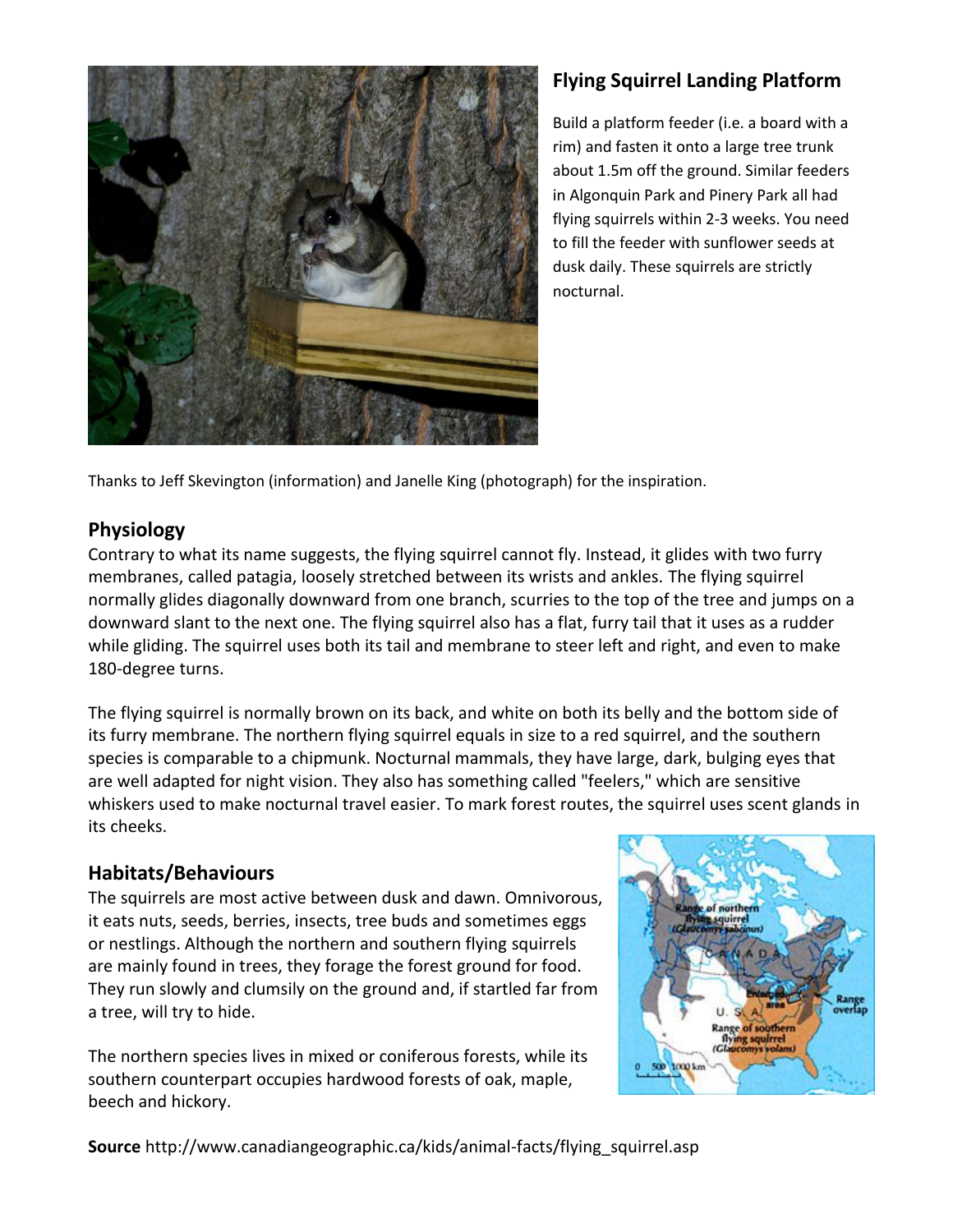

# **Flying Squirrel Landing Platform**

Build a platform feeder (i.e. a board with a rim) and fasten it onto a large tree trunk about 1.5m off the ground. Similar feeders in Algonquin Park and Pinery Park all had flying squirrels within 2-3 weeks. You need to fill the feeder with sunflower seeds at dusk daily. These squirrels are strictly nocturnal.

Thanks to Jeff Skevington (information) and Janelle King (photograph) for the inspiration.

### **Physiology**

Contrary to what its name suggests, the flying squirrel cannot fly. Instead, it glides with two furry membranes, called patagia, loosely stretched between its wrists and ankles. The flying squirrel normally glides diagonally downward from one branch, scurries to the top of the tree and jumps on a downward slant to the next one. The flying squirrel also has a flat, furry tail that it uses as a rudder while gliding. The squirrel uses both its tail and membrane to steer left and right, and even to make 180-degree turns.

The flying squirrel is normally brown on its back, and white on both its belly and the bottom side of its furry membrane. The northern flying squirrel equals in size to a red squirrel, and the southern species is comparable to a chipmunk. Nocturnal mammals, they have large, dark, bulging eyes that are well adapted for night vision. They also has something called "feelers," which are sensitive whiskers used to make nocturnal travel easier. To mark forest routes, the squirrel uses scent glands in its cheeks.

## **Habitats/Behaviours**

The squirrels are most active between dusk and dawn. Omnivorous, it eats nuts, seeds, berries, insects, tree buds and sometimes eggs or nestlings. Although the northern and southern flying squirrels are mainly found in trees, they forage the forest ground for food. They run slowly and clumsily on the ground and, if startled far from a tree, will try to hide.

The northern species lives in mixed or coniferous forests, while its southern counterpart occupies hardwood forests of oak, maple, beech and hickory.



**Source** http://www.canadiangeographic.ca/kids/animal-facts/flying\_squirrel.asp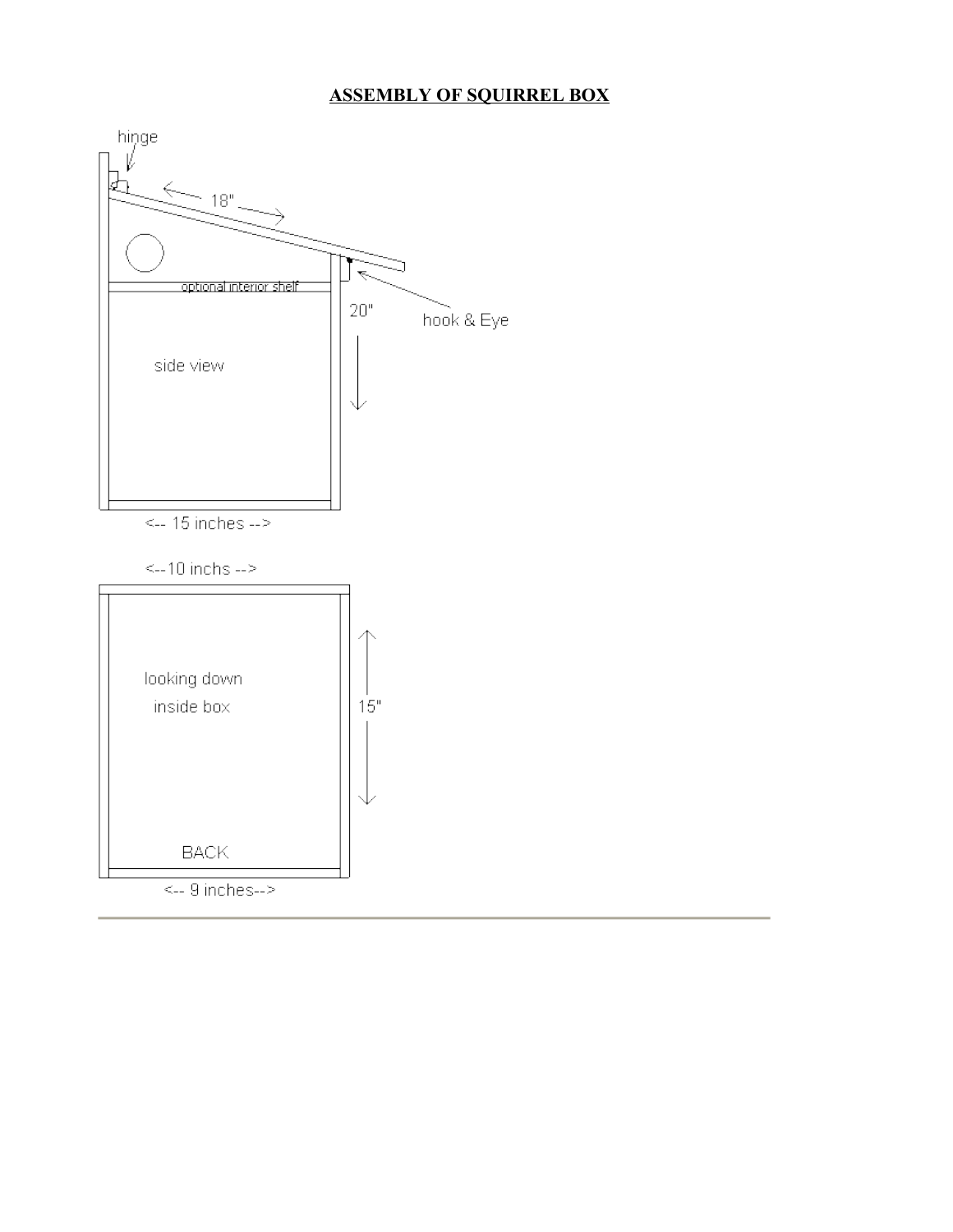### **ASSEMBLY OF SQUIRREL BOX**

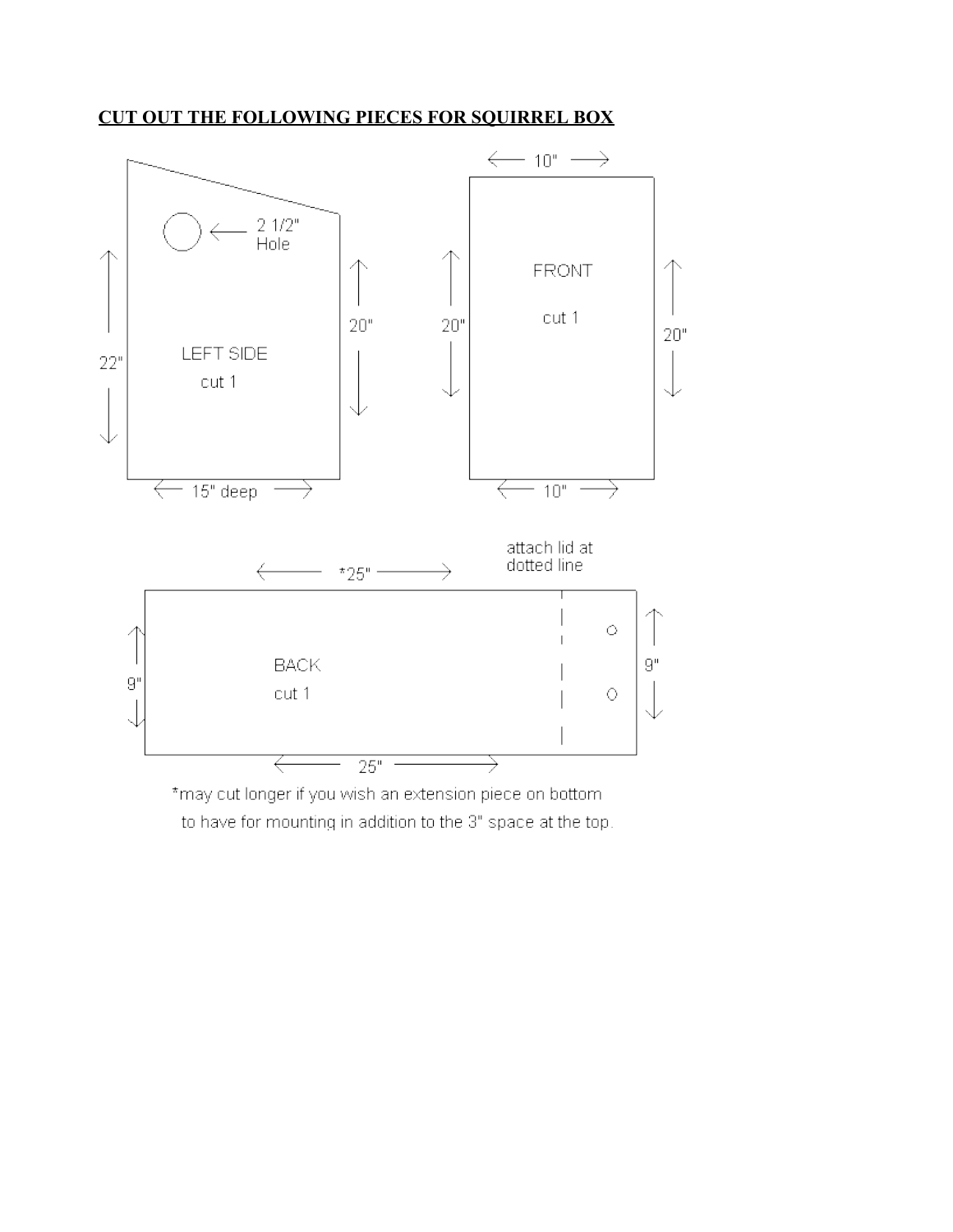#### **CUT OUT THE FOLLOWING PIECES FOR SQUIRREL BOX**



\*may cut longer if you wish an extension piece on bottom to have for mounting in addition to the 3" space at the top.